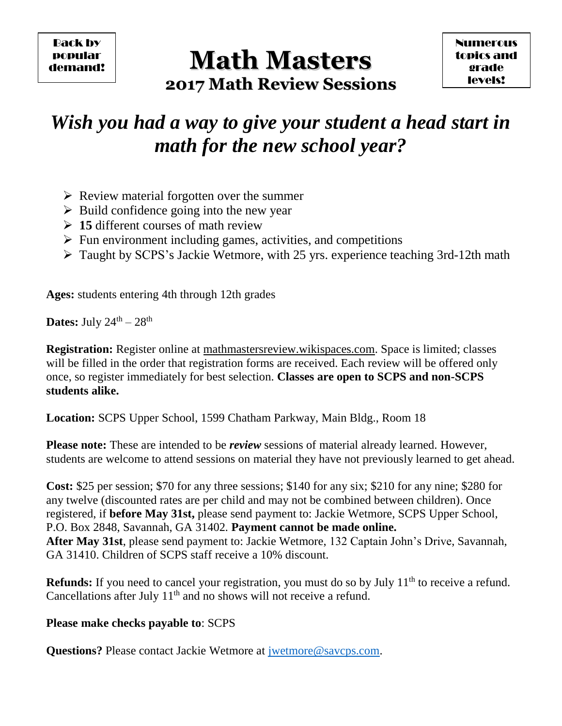Back by popular demand!

# **Math Masters 2017 Math Review Sessions**

# *Wish you had a way to give your student a head start in math for the new school year?*

- $\triangleright$  Review material forgotten over the summer
- $\triangleright$  Build confidence going into the new year
- **15** different courses of math review
- $\triangleright$  Fun environment including games, activities, and competitions
- Taught by SCPS's Jackie Wetmore, with 25 yrs. experience teaching 3rd-12th math

**Ages:** students entering 4th through 12th grades

**Dates:** July  $24^{\text{th}} - 28^{\text{th}}$ 

**Registration:** Register online at mathmastersreview.wikispaces.com. Space is limited; classes will be filled in the order that registration forms are received. Each review will be offered only once, so register immediately for best selection. **Classes are open to SCPS and non-SCPS students alike.**

**Location:** SCPS Upper School, 1599 Chatham Parkway, Main Bldg., Room 18

**Please note:** These are intended to be *review* sessions of material already learned. However, students are welcome to attend sessions on material they have not previously learned to get ahead.

**Cost:** \$25 per session; \$70 for any three sessions; \$140 for any six; \$210 for any nine; \$280 for any twelve (discounted rates are per child and may not be combined between children). Once registered, if **before May 31st,** please send payment to: Jackie Wetmore, SCPS Upper School, P.O. Box 2848, Savannah, GA 31402*.* **Payment cannot be made online. After May 31st**, please send payment to: Jackie Wetmore, 132 Captain John's Drive, Savannah, GA 31410. Children of SCPS staff receive a 10% discount.

**Refunds:** If you need to cancel your registration, you must do so by July 11<sup>th</sup> to receive a refund. Cancellations after July 11<sup>th</sup> and no shows will not receive a refund.

### **Please make checks payable to**: SCPS

**Questions?** Please contact Jackie Wetmore at *jwetmore@savcps.com.*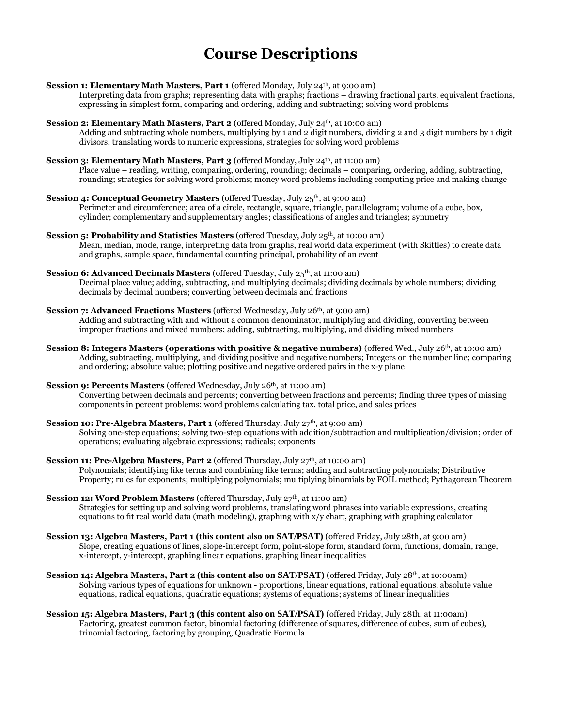## **Course Descriptions**

- **Session 1: Elementary Math Masters, Part 1** (offered Monday, July 24<sup>th</sup>, at 9:00 am) Interpreting data from graphs; representing data with graphs; fractions – drawing fractional parts, equivalent fractions, expressing in simplest form, comparing and ordering, adding and subtracting; solving word problems
- **Session 2: Elementary Math Masters, Part 2** (offered Monday, July 24<sup>th</sup>, at 10:00 am) Adding and subtracting whole numbers, multiplying by 1 and 2 digit numbers, dividing 2 and 3 digit numbers by 1 digit divisors, translating words to numeric expressions, strategies for solving word problems
- **Session 3: Elementary Math Masters, Part 3** (offered Monday, July 24<sup>th</sup>, at 11:00 am) Place value – reading, writing, comparing, ordering, rounding; decimals – comparing, ordering, adding, subtracting, rounding; strategies for solving word problems; money word problems including computing price and making change
- **Session 4: Conceptual Geometry Masters** (offered Tuesday, July 25<sup>th</sup>, at 9:00 am) Perimeter and circumference; area of a circle, rectangle, square, triangle, parallelogram; volume of a cube, box, cylinder; complementary and supplementary angles; classifications of angles and triangles; symmetry
- **Session 5: Probability and Statistics Masters (offered Tuesday, July 25<sup>th</sup>, at 10:00 am)** Mean, median, mode, range, interpreting data from graphs, real world data experiment (with Skittles) to create data and graphs, sample space, fundamental counting principal, probability of an event
- **Session 6: Advanced Decimals Masters** (offered Tuesday, July 25 th, at 11:00 am) Decimal place value; adding, subtracting, and multiplying decimals; dividing decimals by whole numbers; dividing decimals by decimal numbers; converting between decimals and fractions
- **Session 7: Advanced Fractions Masters (offered Wednesday, July 26<sup>th</sup>, at 9:00 am)** Adding and subtracting with and without a common denominator, multiplying and dividing, converting between improper fractions and mixed numbers; adding, subtracting, multiplying, and dividing mixed numbers
- **Session 8: Integers Masters (operations with positive & negative numbers) (offered Wed., July 26th, at 10:00 am)** Adding, subtracting, multiplying, and dividing positive and negative numbers; Integers on the number line; comparing and ordering; absolute value; plotting positive and negative ordered pairs in the x-y plane
- **Session 9: Percents Masters** (offered Wednesday, July 26<sup>th</sup>, at 11:00 am) Converting between decimals and percents; converting between fractions and percents; finding three types of missing components in percent problems; word problems calculating tax, total price, and sales prices
- **Session 10: Pre-Algebra Masters, Part 1** (offered Thursday, July 27<sup>th</sup>, at 9:00 am) Solving one-step equations; solving two-step equations with addition/subtraction and multiplication/division; order of operations; evaluating algebraic expressions; radicals; exponents
- **Session 11: Pre-Algebra Masters, Part 2** (offered Thursday, July 27<sup>th</sup>, at 10:00 am) Polynomials; identifying like terms and combining like terms; adding and subtracting polynomials; Distributive Property; rules for exponents; multiplying polynomials; multiplying binomials by FOIL method; Pythagorean Theorem
- **Session 12: Word Problem Masters** (offered Thursday, July 27<sup>th</sup>, at 11:00 am) Strategies for setting up and solving word problems, translating word phrases into variable expressions, creating equations to fit real world data (math modeling), graphing with x/y chart, graphing with graphing calculator
- **Session 13: Algebra Masters, Part 1 (this content also on SAT/PSAT)** (offered Friday, July 28th, at 9:00 am) Slope, creating equations of lines, slope-intercept form, point-slope form, standard form, functions, domain, range, x-intercept, y-intercept, graphing linear equations, graphing linear inequalities
- **Session 14: Algebra Masters, Part 2 (this content also on SAT/PSAT)** (offered Friday, July 28th, at 10:00am) Solving various types of equations for unknown - proportions, linear equations, rational equations, absolute value equations, radical equations, quadratic equations; systems of equations; systems of linear inequalities
- **Session 15: Algebra Masters, Part 3 (this content also on SAT/PSAT)** (offered Friday, July 28th, at 11:00am) Factoring, greatest common factor, binomial factoring (difference of squares, difference of cubes, sum of cubes), trinomial factoring, factoring by grouping, Quadratic Formula